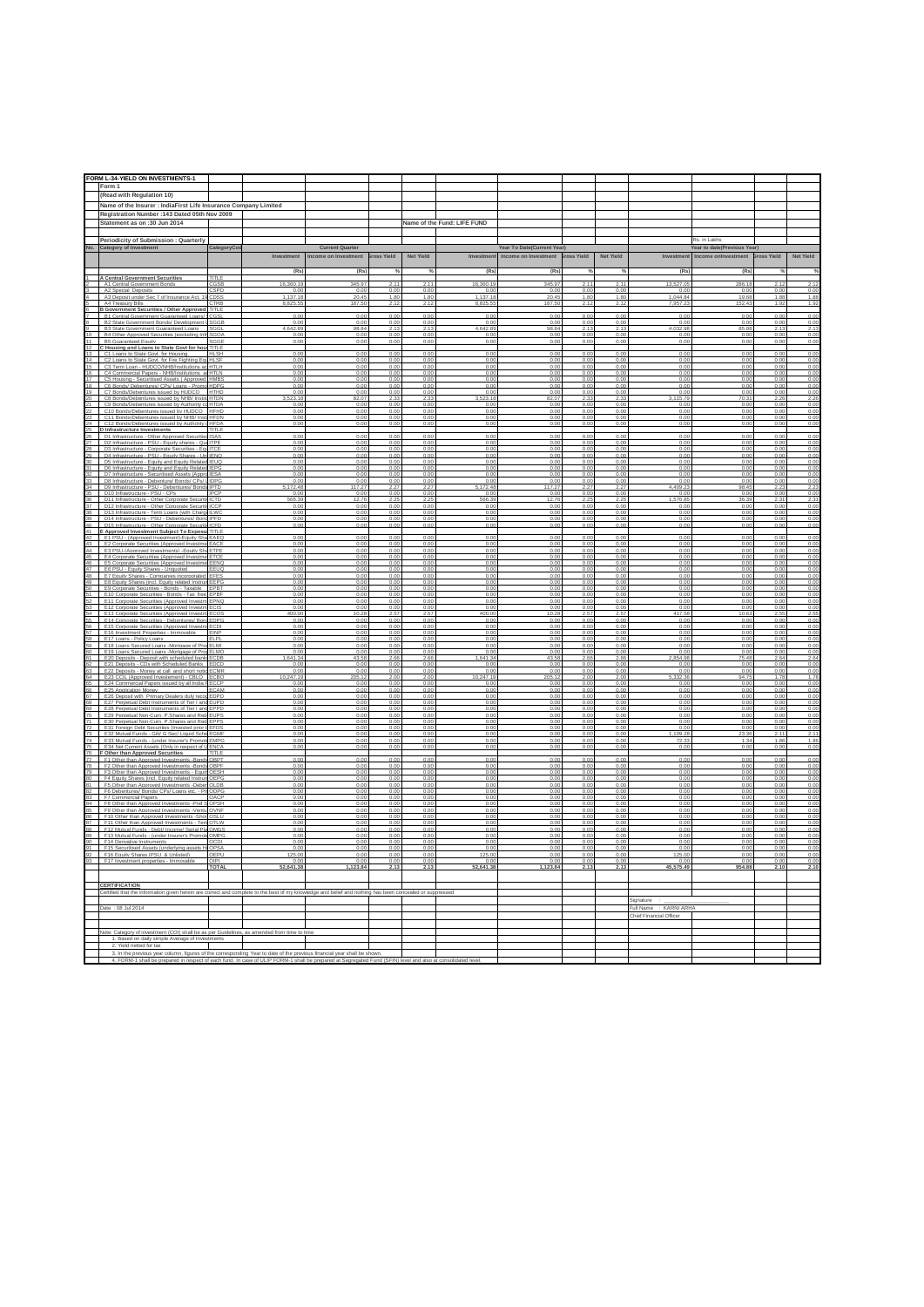|                | FORM L-34-YIELD ON INVESTMENTS-1                                                                                                                       |            |                        |                                                            |                        |                        |                                 |                                                                       |              |                                    |                                                   |                                                                           |                        |                        |
|----------------|--------------------------------------------------------------------------------------------------------------------------------------------------------|------------|------------------------|------------------------------------------------------------|------------------------|------------------------|---------------------------------|-----------------------------------------------------------------------|--------------|------------------------------------|---------------------------------------------------|---------------------------------------------------------------------------|------------------------|------------------------|
|                | Form 1                                                                                                                                                 |            |                        |                                                            |                        |                        |                                 |                                                                       |              |                                    |                                                   |                                                                           |                        |                        |
|                | (Read with Regulation 10)                                                                                                                              |            |                        |                                                            |                        |                        |                                 |                                                                       |              |                                    |                                                   |                                                                           |                        |                        |
|                | Name of the Insurer : IndiaFirst Life Insurance Company Limited                                                                                        |            |                        |                                                            |                        |                        |                                 |                                                                       |              |                                    |                                                   |                                                                           |                        |                        |
|                | Registration Number : 143 Dated 05th Nov 2009                                                                                                          |            |                        |                                                            |                        |                        |                                 |                                                                       |              |                                    |                                                   |                                                                           |                        |                        |
|                | Statement as on :30 Jun 2014                                                                                                                           |            |                        |                                                            |                        |                        | Name of the Fund: LIFE FUND     |                                                                       |              |                                    |                                                   |                                                                           |                        |                        |
|                | Periodicity of Submission : Quarterly                                                                                                                  |            |                        |                                                            |                        |                        |                                 |                                                                       |              |                                    |                                                   | Rs. in Lakhs                                                              |                        |                        |
|                | No. Category of Investment                                                                                                                             | CategoryCo | Investment             | <b>Current Quarter</b><br>Income on Investment Bross Yield |                        | <b>Net Yield</b>       | Investment                      | Year To Date(Current Year)<br>Income on Investment <b>Bross Yield</b> |              | Net Yield                          |                                                   | Year to date(Previous Year)<br>Investment Income onlnvestment Bross Yield |                        | Net Yield              |
|                |                                                                                                                                                        |            |                        |                                                            |                        |                        |                                 |                                                                       |              |                                    |                                                   |                                                                           |                        |                        |
|                | A Central Government Securities                                                                                                                        |            | (Rs)                   | (Rs)                                                       |                        |                        | (Rs)                            | (Rs)                                                                  |              |                                    | (Rs)                                              | (Rs)                                                                      |                        | %                      |
|                | <b>TITLE</b><br><b>Government Bonds</b><br>Central                                                                                                     |            | 16,360.19              | 345.97                                                     | 211                    | 2.11                   | 16,360.19                       | 345.97                                                                | 2.11         | 2.11                               | 13,527.0                                          | 286.18                                                                    | $\frac{2.12}{0.00}$    | 2.12                   |
|                | A2 Special Depo<br>A3 Deposit under Sec 7 of Insurance Act. 19 CDS5                                                                                    |            | 0.0<br>1.137.18        | 0.00<br>20.45                                              | 0.0<br>1.80            | 0.00<br>1.80           | 0.0<br>1.137.18                 | 0.00<br>20.45                                                         | 0.00<br>1.80 | 0.0<br>1.80                        | 1.044.84                                          | 0.00<br>19.68                                                             | 1.88                   | 0.00<br>1.88           |
|                | <b>CTRE</b><br><b>B Government Securities / Other Approved TITLE</b>                                                                                   |            | 8.825.5                | 187.50                                                     | 2.12                   | 2.12                   | 8.825.55                        | 187.50                                                                | 2.12         | 2.1                                |                                                   | 152.43                                                                    | 1.9                    | 1.92                   |
|                | B1 Central Government Guaranteed Loans/                                                                                                                |            | 0.00                   | 0.00                                                       | 0.00                   | 0.00                   | 0.00                            | 0.00                                                                  | 0.00         | 0.00                               | 0.00                                              | 0.00                                                                      | 0.00                   | 0.00                   |
|                | B2 State Government Bonds/ Development LSGGE<br>B3 State Government Guaranteed Loans<br>SGG                                                            |            | 0.00<br>4.642.89       | 0.00<br>98.84                                              | 0.00<br>2.13           | 0.00<br>2.13           | 0.00<br>4.642.89                | 0.00<br>98.84                                                         | 0.00<br>2.13 | 0.00<br>213                        | 0.00<br>4.032.98                                  | 0.00<br>85.88                                                             | 0.00<br>213            | 0.00<br>2.13           |
|                | B4 Other Approved Securities (excluding Infr.<br><b>B5 Guaranteed Equit</b><br>3GGI                                                                    |            | 0.01<br>0.01           | 0.00<br>0.00                                               | 0.00<br>0.0            | 0.00<br>0.00           | 0.00                            | 0.00<br>0.00                                                          | 0.00         | 0.0<br>0.0                         | 0.0                                               | 0.00<br>0.00                                                              | 0.01<br>0.0            | 0.00<br>0.00           |
|                | C Housing and Loans to State Govt for hous TITLE                                                                                                       |            |                        |                                                            |                        |                        |                                 |                                                                       |              |                                    |                                                   |                                                                           |                        |                        |
| 14             | C1 Loans to State Govt, for Housing<br><b>HLSH</b><br>C2 Loans to State Govt, for Fire Fighting Equ HLSF                                               |            | 0.00<br>0.00           | 0.00<br>0.00                                               | 0.01<br>0.00           | 0.00<br>0.00           | 0.00<br>0.00                    | 0.00<br>0.00                                                          | 0.00<br>0.00 | 0.0<br>0.00                        | 0.00<br>0.00                                      | 0.00<br>0.00                                                              | 0.01<br>0.00           | 0.00<br>0.00           |
| 16             | C3 Term Loan - HUDCO/NH<br>HTI H<br>C4 Commercial Papers - NHB/Institutions. ad HTLN                                                                   |            | 0 <sub>0</sub><br>0.00 | 0.00<br>0.00                                               | 0 <sup>o</sup><br>0.00 | 0 <sub>0</sub><br>0.00 | n no<br>0.00                    | 0 <sub>0</sub><br>0.00                                                | 0.00         | 0.00                               | 0.00<br>0.00                                      | 0.00<br>0.00                                                              | 0 <sub>0</sub><br>0.00 | 0.00<br>0.00           |
|                | C5 Housing - Securitised Assets / Approved HMBS<br>C6 Bonds/ Debentures/ CPs/ Loans - Promo HDP                                                        |            | 0.00<br>0.01           | 0.00<br>0.00                                               | 0.00<br>0.0            | 0.00<br>0.00           | 0.00<br>0.00                    | 0.00<br>0.00                                                          | 0.00<br>0.00 | 0.0<br>0.0                         | 0.00<br>0.01                                      | 0.00<br>0.00                                                              | 0.01<br>0.0            | 0.00<br>0.00           |
| 19             | C7 Bonds/Debentures issued by HUDCO HTHD                                                                                                               |            | 0.00                   | 0.00                                                       | 0.00                   | 0.00                   | 0.00                            | 0.00                                                                  | 0.00         | 0.00                               | 0.00                                              | 0.00                                                                      | 0.00                   | 0.00                   |
|                | C8 Bo<br>nds/Debentures issued by NHR/ Institu<br><b>HTDM</b><br>C9 Bonds/Debentures issued by Authority co HTDA                                       |            | 93.1<br>0.00           | 0.00                                                       | 0.00                   | 0.00                   | 23.18<br>0.00                   | 0.00                                                                  | 0.00         | 0.00                               | 15.7<br>0.00                                      | 0.00                                                                      | 0.00                   | 0.00                   |
|                | C10 Bonds/Debentures issued by HUDCO HFHD<br>C11 Bonds/Debentures issued by NHB/ Insti HFDN                                                            |            | 0.00<br>0.00           | 0.00<br>0.00                                               | 0.00<br>0.00           | 0.00<br>0.00           | 0.00<br>0.00                    | 0.00<br>0.00                                                          | 0.00<br>0.00 | 0.00<br>0.00                       | 0.00<br>0.00                                      | 0.00<br>0.00                                                              | 0.00<br>0.00           | 0.00<br>0.00           |
| 24             | C12 Bonds/Debentures issued by Authority oHFDA                                                                                                         |            | 0.00                   | 0.00                                                       | 0.00                   | 0.00                   | 0.00                            | 0.00                                                                  | 0.00         | 0.00                               | 0.00                                              | 0.00                                                                      | 0.00                   | 0.00                   |
|                | D Infrastructure Investments<br>D1 Infrastructure - Other Approved Securities ISAS                                                                     |            | 0.00                   | 0.00                                                       | 0.00                   | 0.00                   | 0.00                            | 0.00                                                                  | 0.00         | 0.00                               | 0.00                                              | 0.00                                                                      | 0.00                   | 0.00                   |
|                | D2 Infrastructure - PSU - Equity shares - QuelTPE<br>D3 Infrastructure - Corporate Securities - Equ                                                    |            | 0.00<br>0.00           | 0.00<br>0.00                                               | 0.00<br>0.00           | 0.00<br>0.00           | 0.00<br>0.00                    | 0.00<br>0.00                                                          | 0.00<br>0.00 | 0.00<br>0.0                        | 0.00<br>0.00                                      | 0.00<br>0.00                                                              | 0.00<br>0.00           | 0.00<br>0.00           |
| 29<br>30       | D4 Infrastructure - PSU - Equity Shares - Unil ENQ<br>D5 Infrastructure - Foulty and Foulty Related IFUO                                               |            | 0.00<br>0.00           | 0.00<br>0.00                                               | 0.00<br>0.00           | 0.00<br>0.00           | 0.00<br>0.00                    | 0.00<br>0.00                                                          | 0.00<br>0.00 | 0.00<br>0 <sup>0<sup>c</sup></sup> | 0.00<br>0.00                                      | 0.00<br>0.00                                                              | 0.00<br>0.00           | 0.00<br>0.00           |
|                | D6 Infrastructure - Equity and Equity Related IEPG                                                                                                     |            | 0.00                   | 0.00                                                       | 0.01                   | 0.00                   | 0.00                            | 0.00                                                                  | 0.00         | 0.0                                | 0.00                                              | 0.00                                                                      | 0.00                   | 0.00                   |
|                | D7 Infrastructure - Securitised Assets (Appro IESA<br>D8 Infrastructure - Debenture/ Bonds/ CPs/<br><b>IDPC</b>                                        |            | 0.00<br>0.00           | 0.00<br>0.00                                               | 0.00<br>0.00           | 0.00<br>0.00           | 0.00                            | 0.00                                                                  | 0.00<br>0.00 | 0.00<br>0.0                        | 0.00<br>0.00                                      | 0.00<br>0.00                                                              | 0.00<br>0.00           | 0.00<br>0.00           |
| 34<br>35       | D9 Infrastructure - PSU - Debentures/ Bonds IPTD<br>D10 Infrastructure - PSU - CPs<br><b>IPCF</b>                                                      |            | 5.172.48<br>0.00       | 117.27<br>0.00                                             | 2.27<br>0.00           | 2.27<br>0.00           | $\frac{0.00}{5.172.48}$<br>0.00 | $\frac{0.00}{117.27}$<br>0.00                                         | 2.27<br>0.00 | 2.27<br>0.00                       | 1.409.23<br>0.00                                  | 98.45<br>0.00                                                             | 2.23<br>0.00           | 2.23<br>0.00           |
|                | D11 Infrastructure - Other Corporate Securiti<br>CТD                                                                                                   |            | 566.39                 | 12.76                                                      | 2.25                   | 2.25                   | 66.39                           | 12.76                                                                 | 2.25         | 2.2                                | 576.85                                            | 36.39                                                                     | $2.3^{\circ}$          | 2.31                   |
| 37<br>38       | D12 Infrastructure - Other Corporate Securiti ICCF<br>D13 Infrastructure - Term Loans (with Charge ILWC                                                |            | 0.00<br>0.00           | 0.00<br>0.00                                               | 0.00<br>0.00           | 0.00<br>0.00           | 0.00<br>0.00                    | 0.00<br>0.00                                                          | 0.00<br>0.00 | 0.00<br>0 <sup>0<sup>c</sup></sup> | 0.00<br>0.00                                      | 0.00<br>0.00                                                              | 0.00<br>0.00           | 0.00<br>0.00           |
| 39<br>40       | D14 Infrastructure - PSU - Debentures/ Bond IPFD<br>D15 Infrastructure - Other Corporate Securiti ICFD                                                 |            | 0.00<br>0.00           | 0.00<br>0.00                                               | 0.00<br>0.00           | 0.00<br>0.00           | 0.00<br>0.00                    | 0.00<br>0.00                                                          | 0.00<br>0.00 | 0.00<br>0.00                       | 0.00<br>0.00                                      | 0.00<br>0.00                                                              | 0.00<br>0 <sup>0</sup> | 0.00<br>0.00           |
|                | E Approved Investment Subject To Exposur<br><b>TITLI</b>                                                                                               |            |                        |                                                            |                        |                        |                                 |                                                                       |              |                                    |                                                   |                                                                           |                        |                        |
| 42<br>$43 -$   | E1 PSU - (Approved Investment)-Equity Sha EAEQ<br>E2 Corporate Securities (Approved Investm<br>FACI                                                    |            | 0.00<br>0.00           | 0.00<br>$0.00$<br>$0.00$                                   | 0.00<br>0.00           | 0.00<br>0.00           | 0.00<br>0.00                    | 0.00<br>0.00                                                          | 0.00<br>0.00 | 0.00<br>0.00                       | 0.00<br>0.00                                      | 0.00<br>0.00                                                              | 0.00<br>0 <sup>0</sup> | 0.00<br>$0.00$<br>0.00 |
| 45             | E3 PSU-(Approved Investments) - Equity Sha ETPE<br>E4 Corporate Securities (Approved Investme ETCE                                                     |            | 0.00<br>0.00           | 0.00                                                       | 0.00<br>0.00           | 0.00<br>0.00           | 0.00<br>0.00                    | 0.00<br>0 <sup>0<sup>c</sup></sup>                                    | 0.00<br>0.00 | 0.00<br>0.00                       | 0.00<br>0.00                                      | 0.00<br>0.00                                                              | 0.00<br>0.00           | 0.00                   |
|                | FFN                                                                                                                                                    |            |                        |                                                            |                        |                        |                                 |                                                                       |              |                                    |                                                   |                                                                           |                        | 0.00                   |
| 47<br>48<br>49 | E6 PSU - Equity Shares - Unquoted<br>EEUQ<br>E7 Equity Shares - Companies incorporated EFFS                                                            |            | 0.00<br>0.00           | 0.00<br>0.00                                               | 0.00<br>0.00           | 0.00<br>0.00           | 0.00<br>0.00                    | 0.00<br>0.00                                                          | 0.00<br>0.00 | 0.00                               | 0.00<br>0.00                                      | 0.00<br>0.00                                                              | 0.00<br>0 <sup>0</sup> | 0.00<br>0.00           |
| 50             | E8 Equity Shares (incl. Equity related Instrum EEPG<br>E9 Corporate Securities - Bonds - Taxable EPB'                                                  |            | 0.00<br>0.00           | 0.00<br>0.00                                               | 0.01<br>0.00           | 0.00<br>0.00           | 0.00<br>0.00                    | 0.00<br>0.00                                                          | 0.00<br>0.00 | 0.0<br>0.00                        | 0.00<br>0.00                                      | 0.00<br>0.00                                                              | 0.00<br>0.00           | 0.00<br>0.00           |
|                | E10 Corporate Securities - Bonds - Tax free EPBI<br>E11 Corporate Securities (Approved Investm EPNQ                                                    |            | 0.01<br>0.00           | 0.00<br>0.00                                               | 0.00<br>0.00           | 0.00<br>0.00           | 0.00<br>0.00                    | 0.00<br>0.00                                                          | 0.00<br>0.00 | 0.0<br>0.00                        | 0.00<br>0.00                                      | 0.00<br>0.00                                                              | 0.01<br>0.00           | 0.00<br>0.00           |
| 53             | E12 Corporate Securities (Approved Investm ECIS                                                                                                        |            | 0.00                   | 0.00                                                       | 0.00                   | 0.00                   | 0.00                            | 0.00                                                                  | 0.00         |                                    | 0.00                                              | 0.00                                                                      | 0 <sup>0</sup>         | 0.00                   |
| 55             | E13 Corporate Securities (Approved Investm ECO)<br>E14 Corporate Securities - Debentures/ Bond EDPG                                                    |            | 400.00<br>0.00         | 10.28<br>0.00                                              | 2.5<br>0.00            | 2.57<br>0.00           | 400.00<br>0.00                  | 10.28<br>0.00                                                         | 2.57<br>0.00 | 0.00                               | 417.58<br>0.00                                    | 10.63<br>0.00                                                             | 2.5<br>0.00            | 2.55<br>0.00           |
| 56             | E15 Corporate Securities (Approved Investm<br>ECDI<br>E16 Investment Properties - Immovable<br>EINF                                                    |            | 0.00<br>0.00           | 0.00<br>0.00                                               | 0.00<br>0.00           | n on<br>0.00           | n nn<br>0.00                    | 0.00                                                                  | n nr<br>0.00 | 0 <sub>n</sub><br>0.00             | 0.00<br>0.00                                      | 0.00<br>0.00                                                              | 0 <sup>0</sup><br>0.00 | 0.00<br>0.00           |
|                | E17 Loans - Policy Loans<br>ELPI                                                                                                                       |            | 0.00                   | 0.00                                                       | 0.00                   | 0.00                   | 0.00                            | 0.00                                                                  | 0.00         | 0.0                                | 0.00                                              | 0.00                                                                      | 0.01                   | 0.00                   |
| 59<br>60       | E18 Loans Secured Loans -Mortgage of PropELM<br>E19 Loans Secured Loans -Mortgage of PropELMO                                                          |            | 0.00<br>0.00           | 0.00<br>0.00                                               | 0.01<br>0.00           | 0.00<br>0.00           | 0.00<br>0.00                    | 0.00<br>0.00                                                          | 0.00<br>0.00 | 0.0<br>0.00                        | 0.00<br>0.00                                      | 0.00<br>0.00                                                              | 0.01<br>0.00           | 0.00<br>0.00           |
|                | E20 Deposits - Deposit with scheduled bank<br>E21 Deposits - CDs with Scheduled Banks<br>ЮC                                                            |            | 16413                  | 43.58<br>0.00                                              | 0.01                   | 0.00                   | 164134<br>0.00                  | 43.58<br>0.00                                                         | 0.00         | 0.0                                | 854 9<br>0.01                                     | 75.48<br>0.00                                                             | 0.00                   | 2.64<br>0.00           |
| 63             | E22 Deposits - Money at call and short notic ECMR<br>E23 CCIL (Approved Investement) - CBLO                                                            |            | 0.00<br>10.247.1       | 0.00<br>205.12                                             | 0.00<br>2.01           | 0.00<br>2.00           | 0.00<br>10.247.19               | 0.00<br>205.12                                                        | 0.00<br>2.00 | 0.00                               | 0.00<br>5 3 3 2 3                                 | 0.00                                                                      | 0.00                   | 0.00                   |
| 64<br>65       | E24 Commercial Papers issued by all India FECCF                                                                                                        |            | 0.00                   | 0.00                                                       | 0.00                   | 0.00                   | 0.00                            | 0.00                                                                  | 0.00         | 0.00                               | 0.00                                              | 94.75<br>0.00                                                             | 1.78<br>0.00           | 1.78<br>0.00           |
| 66             | E25 Application Money<br>ECAM<br>E26 Deposit with Primary Dealers duly recog<br><b>DPD</b>                                                             |            | 0.00<br>0.00           | 0.00<br>0.00                                               | 0.00<br>0.00           | 0.00<br>0.00           | 0.00<br>0.00                    | 0.00<br>0.00                                                          | 0.00<br>0.00 | 0.00<br>0.00                       | 0.00<br>0.00                                      | 0.00<br>0.00                                                              | 0.00<br>0.00           | 0.00<br>0.00           |
| 68             | E27 Perpetual Debt Instruments of Tier I and EUPD<br>E28 Perpetual Debt Instruments of Tier I and EPPD                                                 |            | 0.00<br>0.01           | 0.00<br>0.00                                               | 0.00<br>0.01           | 0.00<br>0.00           | 0.00<br>0.00                    | 0.00<br>0.00                                                          | 0.00<br>0.00 | 0.00<br>0.0                        | 0.00<br>0.00                                      | 0.00<br>0.00                                                              | 0.00<br>0.00           | 0.00<br>0.00           |
| 70<br>71       | E29 Perpetual Non-Cum. P.Shares and Red EUPS<br>E30 Pernetual Non-Cum, P Shares and Red EPP!                                                           |            | 0.00                   | 0.00<br>0.00                                               | 0.00<br>n nn           | 0.00<br>0.00           | 0.00<br>n nn                    | 0.00<br>n nr                                                          | 0.00<br>n or | 0.00<br>n ni                       | 0.00<br>n nn                                      | 0.00<br>n nn                                                              | 0.00<br>0 <sub>0</sub> | 0.00<br>0.00           |
|                | E31 Foreign Debt Securities (Invested prior to EFDS                                                                                                    |            | 0.00                   | 0.00                                                       | 0.01                   | 0.00                   | 0.00                            | 0.00                                                                  | 0.00         | 0.00                               | 0.00                                              | 0.00                                                                      | 0.00                   | 0.00                   |
| 73<br>74       | E32 Mutual Funds - Gilt/ G Sec/ Liquid Sche EGMF                                                                                                       |            | 0.00                   | 0.00                                                       | 0.00<br>n on           | 0.00<br>0.00           | 0.00                            | 0.00<br>0.00                                                          | 0.00<br>0.00 | 0.00                               | 1.109.28<br>ro aa                                 | 23.36<br>124                                                              | 2.11<br>1.88           | 2.11<br>1.86           |
| 76             | E33 Mutual Funds - (under Insurer's Promote EMPG)<br>E34 Net Current Assets (Only in respect of U ENCA<br>F Other than Approved Securities<br>TITI F   |            | 0.00                   | 0.00                                                       | 0.00                   | 0.00                   | $0.00$<br>$0.00$                | 0.00                                                                  | 0.00         | 0.00                               | 0.00                                              | 0.00                                                                      | 0.00                   | 0.00                   |
|                | F1 Other than Approved Investments -Bond                                                                                                               |            | 0.01                   | 0.00                                                       | 0.00                   | 0.00                   | 0.00                            | 0.00                                                                  | 0.00         | 0.00                               | 0.00                                              | 0.00                                                                      | 0.00                   | 0.00                   |
| 78<br>79       | F2 Other than Approved Investments -Bonds OBP<br>F3 Other than Approved Investments - Equity<br><b>DESE</b>                                            |            | 0.00<br>0.00           | 0.00<br>0.00                                               | 0.00<br>0.00           | 0.00<br>0.00           | 0.00<br>0.00                    | 0.00<br>0.00                                                          | 0.00<br>0.00 | 0.00<br>0.0                        | 0.00<br>0.00                                      | 0.00<br>0.00                                                              | 0.00<br>0.00           | 0.00<br>0.00           |
| 81             | F4 Equity Shares (incl. Equity related Instru-<br>OEPO<br>F5 Other than Approved Investments -Deben OLDB                                               |            | 0.00<br>0.00           | 0.00<br>0.00                                               | 0.0<br>0.00            | 0.00<br>0.00           | 0.00<br>0.00                    | 0.00<br>0.00                                                          | 0.00<br>0.00 | 0.0<br>0.00                        | 0.00<br>0.00                                      | 0.00<br>0.00                                                              | 0.01<br>0.00           | 0.00<br>0.00           |
| 83             | F6 Debentures/ Bonds/ CPs/ Loans etc. - ProODP0                                                                                                        |            | 0.00                   | 0.00                                                       | 0.01                   | 0.00                   | 0.00                            | 0.00                                                                  | 0.00         | 0.0                                | 0.00                                              | 0.00                                                                      | 0.00                   | 0.00                   |
| 84             | F7 Commercial Papers<br>OAC<br>F8 Other than Approved Investments -Pref S OPSH                                                                         |            | 0.00<br>0 <sup>0</sup> | 0.00<br>0.00                                               | 0.00<br>0.00           | 0.00<br>0.00           | 0.00<br>0.00                    | 0.00<br>0.00                                                          | 0.00<br>0.00 | 0.00<br>0.00                       | 0.00<br>0.00                                      | 0.00<br>0.00                                                              | 0.00<br>0.00           | 0.00<br>0.00           |
| 86             | F9 Other than Approved Investments -Ventu OVNF<br>F10 Other than Approved Investments -ShortOSLL                                                       |            | 0.00<br>0.00           | 0.00<br>0.00                                               | 0.00<br>0.00           | 0.00<br>0.00           | 0.00<br>0.00                    | 0.00<br>0.00                                                          | 0.00<br>0.00 | 0.00<br>0.00                       | 0.00<br>0.00                                      | 0.00<br>0.00                                                              | 0.00<br>0.00           | 0.00<br>0.00           |
|                | F11 Other than Approved Investments - Terr<br><b>DTLV</b><br>F12 Mutual Funds - Debt/ Income/ Serial Pla OMGS                                          |            | 0.0<br>0.00            | 0.00<br>0.00                                               | 0.01<br>0.00           | 0.01<br>0.00           | 0.00<br>0.00                    | 0.00<br>0.00                                                          | 0.00<br>0.00 | 0.00                               | 0.00<br>0.00                                      | 0.00<br>0.00                                                              | 0.0<br>0.00            | 0.00<br>0.00           |
| 89             | F13 Mutual Funds - (under Insurer's Promote OMPO                                                                                                       |            | 0.00                   | 0.00                                                       | 0.00                   | 0.00                   | 0.00                            | 0.00                                                                  | 0.00         | 0.00                               | 0.00                                              | 0.00                                                                      | 0.00                   | 0.00                   |
| 91             | F14 Derivative Instruments<br>OCD<br>F15 Securitised Assets (underlying assets HeOPSA                                                                  |            | 0.01<br>0.00           | 0.00<br>0.00                                               | 0.00<br>0.00           | 0.00<br>0.00           | 0.00<br>0.00                    | 0.00<br>0.00                                                          | 0.00<br>0.00 | 0.0<br>0.00                        | 0.00<br>0.00                                      | 0.00<br>0.00                                                              | 0.00<br>0.00           | 0.00<br>0.00           |
|                | OEPU<br>92 F16 Equity Shares (PSU & Unlisted)<br>93 F17 Investment properties - Immovable                                                              |            | 125.0<br>0.00          | 0.00<br>0.00                                               | 0.00                   | 0.00<br>0.00           | 25.00<br>0.00                   | 0.00<br>0.00                                                          | 0.00<br>0.00 | 0.00                               | 125.00<br>0.00                                    | 0.00<br>0.00                                                              | 0.0<br>0.00            | 0.00<br>0.00           |
|                | <b>TOTAL</b>                                                                                                                                           |            | 52,641.38              | 1.123.84                                                   | 2.13                   | 2.13                   | 52,641.38                       | 1.123.84                                                              | 2.13         | 2.13                               | 45.575.49                                         | 954.88                                                                    | 2.10                   | 2.10                   |
|                |                                                                                                                                                        |            |                        |                                                            |                        |                        |                                 |                                                                       |              |                                    |                                                   |                                                                           |                        |                        |
|                | <b>CERTIFICATION</b><br>ed that the information given herein are correct and complete to the best of my knowledge and belief and nothing has been conc |            |                        |                                                            |                        | aled or suppressed     |                                 |                                                                       |              |                                    |                                                   |                                                                           |                        |                        |
|                | Date: 08 Jul 2014                                                                                                                                      |            |                        |                                                            |                        |                        |                                 |                                                                       |              |                                    | ignature                                          |                                                                           |                        |                        |
|                |                                                                                                                                                        |            |                        |                                                            |                        |                        |                                 |                                                                       |              |                                    | Full Name : KARNI ARHA<br>Chief Financial Officer |                                                                           |                        |                        |
|                |                                                                                                                                                        |            |                        |                                                            |                        |                        |                                 |                                                                       |              |                                    |                                                   |                                                                           |                        |                        |
|                | lote: Category of investment (COI) shall be as per Guid<br>1. Based on daily simple Average of Investments                                             |            |                        |                                                            |                        |                        |                                 |                                                                       |              |                                    |                                                   |                                                                           |                        |                        |
|                | 2. Yield netted for tax                                                                                                                                |            |                        |                                                            |                        |                        |                                 |                                                                       |              |                                    |                                                   |                                                                           |                        |                        |
|                | 3. In the previous year column, figures of th                                                                                                          |            |                        |                                                            |                        |                        |                                 |                                                                       |              |                                    |                                                   |                                                                           |                        |                        |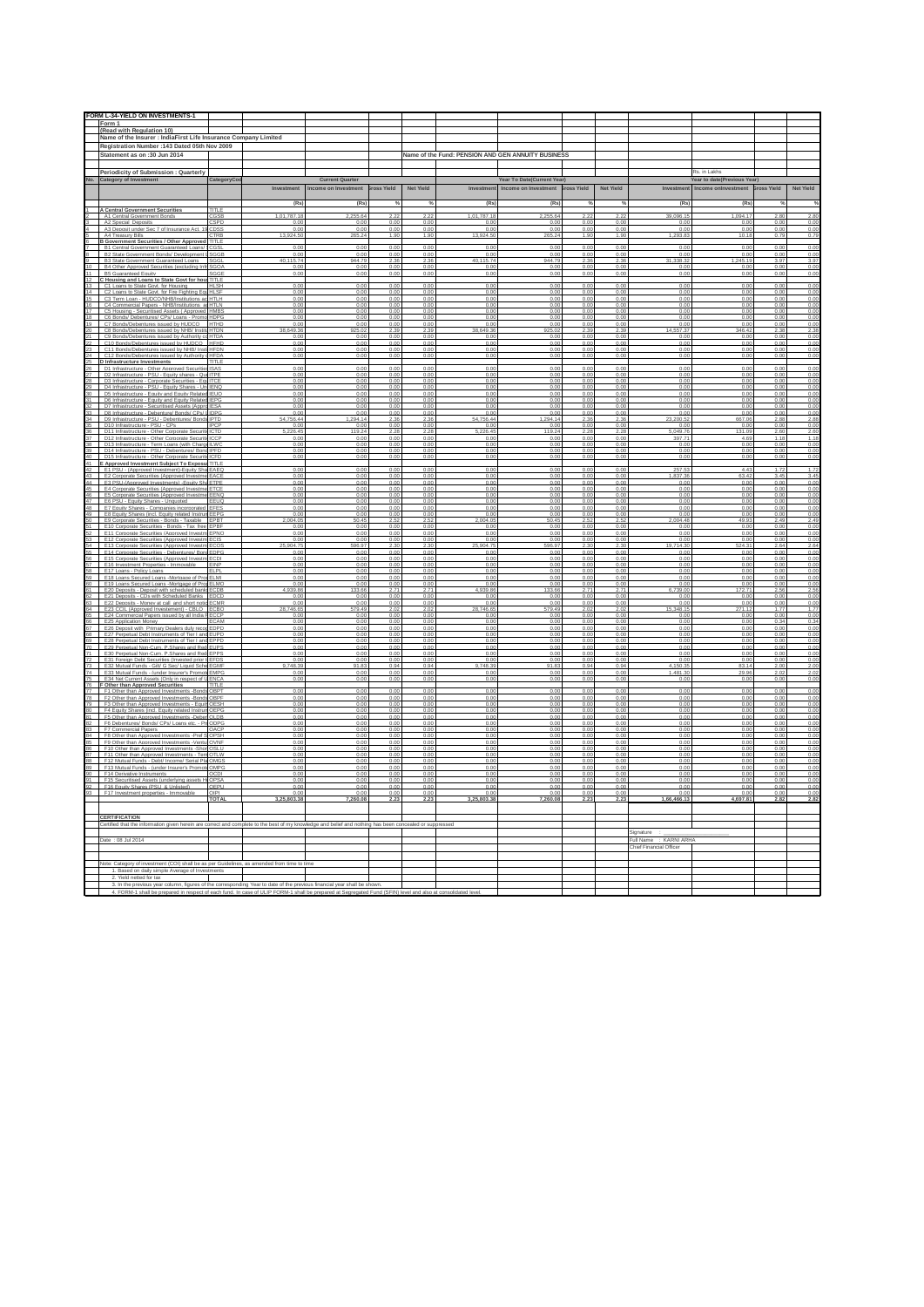|                                                                     | FORM L-34-YIELD ON INVESTMENTS-1                                                                                                       |                              |                                             |                        |                    |                             |                                                    |              |                  |                             |                                 |                                    |                     |
|---------------------------------------------------------------------|----------------------------------------------------------------------------------------------------------------------------------------|------------------------------|---------------------------------------------|------------------------|--------------------|-----------------------------|----------------------------------------------------|--------------|------------------|-----------------------------|---------------------------------|------------------------------------|---------------------|
|                                                                     | Form 1                                                                                                                                 |                              |                                             |                        |                    |                             |                                                    |              |                  |                             |                                 |                                    |                     |
|                                                                     | (Read with Regulation 10)<br>Name of the Insurer : IndiaFirst Life Insurance Company Limited                                           |                              |                                             |                        |                    |                             |                                                    |              |                  |                             |                                 |                                    |                     |
|                                                                     | Registration Number : 143 Dated 05th Nov 2009                                                                                          |                              |                                             |                        |                    |                             |                                                    |              |                  |                             |                                 |                                    |                     |
|                                                                     | Statement as on :30 Jun 2014                                                                                                           |                              |                                             |                        |                    |                             | Name of the Fund: PENSION AND GEN ANNUITY BUSINESS |              |                  |                             |                                 |                                    |                     |
|                                                                     | Periodicity of Submission : Quarterly                                                                                                  |                              |                                             |                        |                    |                             |                                                    |              |                  |                             | Rs. in Lakhs                    |                                    |                     |
|                                                                     | No. Category of Investment<br>CategoryCo                                                                                               |                              | <b>Current Quarter</b>                      |                        |                    |                             | Year To Date(Current Year)                         |              |                  |                             | fear to date(Previous Year)     |                                    |                     |
|                                                                     |                                                                                                                                        |                              | Investment Income on Investment Bross Yield |                        | <b>Net Yield</b>   |                             | Investment Income on Investment Bross Yield        |              | <b>Net Yield</b> | Investment                  | Income onlnvestment Bross Yield |                                    | Net Yield           |
|                                                                     |                                                                                                                                        | (Rs)                         | (Rs)                                        |                        | %                  | (Rs)                        | (Rs)                                               |              |                  | (Rs)                        | (Rs)                            |                                    | %                   |
|                                                                     | <b>A Central Government Securities</b><br><b>TITLE</b>                                                                                 |                              |                                             |                        |                    |                             |                                                    |              |                  |                             |                                 |                                    |                     |
|                                                                     | mment Bond<br>A2 Special Deposits<br>`SPD                                                                                              | 1 01 787 18<br>0.00          | 2 255 64<br>0.00                            | 22<br>0.00             | 222<br>0.00        | 1 01 787 18<br>0.00         | 2 255 64<br>0.00                                   | 0.00         | 22<br>0.00       | 39 096 15<br>0.00           | 1 094 17<br>0.00                | 280<br>0.00                        | 2.80<br>0.00        |
|                                                                     | A3 Deposit under Sec 7 of Insurance Act. 19<br>TRE<br>A4 Treasury Bills                                                                | 0.00<br>13,924.50            | 0.00<br>265.24                              | 0.00<br>1.91           | 0.00<br>1.90       | 0.00<br>13.924.5            | 0.00<br>265.24                                     | 0.00<br>1.90 | 0.00<br>1.9      | 0.00<br>1,293.8             | 0.001<br>10.18                  | 0 <sup>0<sup>c</sup></sup><br>0.79 | 0.00<br>0.79        |
|                                                                     | B Government Securities / Other Approved TITLE                                                                                         |                              |                                             |                        |                    |                             |                                                    |              |                  |                             |                                 |                                    |                     |
|                                                                     | <b>B1 Central Government Guaranteed Loans/ SCGSL</b><br>B2 State Government Bonds/ Development LSGGB                                   | n nr<br>0.00                 | n nr<br>0.00                                | 0 <sub>0</sub><br>0.00 | 0.00<br>0.00       | n no<br>0.00                | 0.01<br>0.00                                       | n nn<br>0.00 | 0.06<br>0.00     | n ni<br>0.00                | 0.00<br>0.00                    | 0 <sup>0</sup><br>0.00             | 0.00<br>0.00        |
| $^{\circ}$                                                          | B3 State Government Guaranteed Loans<br>SGGI<br>B4 Other Approved Securities (excluding Inf                                            | 40.115.74                    | 944.79<br>0.00                              | 2.36<br>0.01           | 2.36<br>0.00       | 40.115.74<br>0.00           | 944.79                                             | 2.36<br>0.00 | 2.36             | 31.338.3                    | 1.245.19<br>0.00                | 3.97<br>0.00                       | 3.97<br>0.00        |
| 1                                                                   | <b>B5 Guaranteed Equity</b><br>SG GI                                                                                                   | 0.00                         | 0.00                                        | 0.00                   | 0.00               | 0.00                        | 0.00                                               | 0.00         | 0.00             | 0.00                        | 0.00                            | 0.00                               | 0.00                |
| $\overline{2}$<br>3                                                 | C Housing and Loans to State Govt for hous<br>C1 Loans to State Govt, for Housing<br><b>HLSH</b>                                       | 0.00                         | 0.00                                        | 0.01                   | 0.00               | 0.00                        | 0.00                                               | 0.00         | 0.0              | 0.00                        | 0.00                            | 0.00                               | 0.00                |
| $\overline{4}$                                                      | C2 Loans to State Govt, for Fire Fighting Fourth SF<br>C3 Term Loan - HUDCO/NHB/Institutions ac<br>HTLH                                | 0.00<br>0.00                 | 0.00<br>0.00                                | 0.00<br>0.0            | 0.00<br>0.00       | 0.00<br>0.00                | 0.00<br>0.00                                       | 0.00<br>0.00 | 0.00<br>0.0      | 0.00<br>0.00                | 0.00<br>0.00                    | 0.00<br>0.00                       | 0.00<br>0.00        |
| 16  <br>$\overline{7}$                                              | C4 Commercial Papers - NHB/Institutions ad HTLN                                                                                        | 0.00                         | 0.00                                        | 0.00                   | 0.00               | 0.00                        | 0.00                                               | 0.00         | 0.00             | 0.00                        | 0.00                            | 0.00                               | 0.00                |
|                                                                     | C5 Housing - Securitised Assets ( Approved<br>HMBS<br>I8 C6 Bonds/ Debentures/ CPs/ Loans - Promo HDPG                                 | 0.00<br>0.00                 | 0.00<br>0.00                                | 0.0<br>0.00            | 0.00<br>0.00       | 0.00<br>0.00                | 0.00<br>0.00                                       | 0.00<br>0.00 | 0.0<br>0.00      | 0.00<br>0.00                | 0.00<br>0.00                    | 0.00<br>0.00                       | 0.00<br>0.00        |
| $\overline{9}$                                                      | C7 Bonds/Debentures issued by HUDCO<br><b>HTHD</b><br>C8 Bonds/Debentures issued by NHB/ Institu HTDN                                  | 0.00<br>38.649.36            | 0 <sub>0</sub><br>925.02                    | 0 <sup>o</sup><br>2.39 | 0.00<br>2.39       | 0 <sup>0</sup><br>38.649.36 | 925.02                                             | 2.39         | 0.01<br>2.39     | 0 <sub>0</sub><br>14.557.37 | n nn<br>346.42                  | 0 <sub>0</sub><br>2.38             | 0.00<br>2.38        |
| !1 I<br>$2^{\circ}$                                                 | C9 Bonds/Debentures issued by Authority co HTDA                                                                                        | 0.00                         | 0.00                                        | 0 <sub>0</sub>         | 0.00               | 0.00                        | 0.00                                               | 0.00         | 0.00             | 0.00                        | 0.00                            | 0.00                               | 0.00                |
| $23 -$                                                              | C10 Bonds/Debentures issued by HUDCO<br>HFHD<br>C11 Bonds/Debentures issued by NHB/ InstitHFDN                                         | 0.00<br>0.00                 | 0.00<br>0.00                                | 0.00<br>0.00           | 0.00<br>0.00       | 0.00<br>0.00                | 0.00<br>0.00                                       | 0.00<br>0.00 | 0.00<br>0.00     | 0.00<br>0.00                | 0.00<br>0.00                    | 0.00<br>0.00                       | 0.00<br>0.00        |
| 24                                                                  | C12 Bonds/Debentures issued by Authority o HFDA<br>25 D Infrastructure Investments<br>TITLE                                            | 0.00                         | 0.00                                        | 0.01                   | 0.00               | 0.00                        | n nr                                               | n nn         | 0.00             | 0 <sup>0<sup>c</sup></sup>  | 0.00                            | 0.00                               | 0.00                |
| 26                                                                  | D1 Infrastructure - Other Approved Securities<br>SAS                                                                                   | 0.00                         | 0.00                                        | 0.01                   | 0.00               | 0.00                        | 0.00                                               | 0.00         | 0.00             | 0.00                        | 0.00                            | 0.00                               | 0.00                |
| 28                                                                  | D2 Infrastructure - PSU - Equity shares - Que<br><b>TPE</b><br>D3 Infrastructure - Coroorate Securities - EquITCE                      | 0.00<br>0.00                 | 0.00<br>0.00                                | 0.0<br>0.00            | 0.00<br>0.00       | 0.00<br>0.00                | 0.00<br>0.00                                       | 0.00<br>0.00 | 0.00             | 0.00<br>0.00                | 0.00<br>0.00                    | 0.00<br>0.00                       | 0.00<br>0.00        |
| $\frac{1}{29}$                                                      | D4 Infrastructure - PSU - Equity Shares - Un<br>ENG<br>D5 Infrastructure - Equity and Equity Related IEUQ                              | 0.00<br>0.00                 | 0.00<br>0.00                                | 0.01                   | 0.00<br>0.00       | 0.00<br>0.00                | 0.00<br>0.00                                       | 0.00<br>0.00 | 0.0              | 0.01<br>0.00                | 0.00<br>0.00                    | 0.00<br>0.00                       | 0.00<br>0.00        |
| 11                                                                  | D6 Infrastructure - Foulty and Foulty Related IFPG                                                                                     | 0.00                         | 0.00                                        | 0.00                   | 0.00               | 0.00                        | 0.00                                               | 0.00         | 0.00             | 0.00                        | 0.00                            | 0.00                               | 0.00                |
|                                                                     | D7 Infrastructure - Securitised Assets (Appro<br><b>ESA</b><br>33 D8 Infrastructure - Debenture/ Bonds/ CPs/ LIDPG                     | 0.00<br>0.00                 | 0.00<br>0.00                                | 0.01<br>0.00           | 0.00<br>0.00       | 0.00<br>0.00                | 0.00<br>0.00                                       | 0.00<br>0.00 | 0.0<br>0.00      | 0.00<br>0.00                | 0.00<br>0.00                    | 0.00<br>0.00                       | 0.00<br>0.00        |
| 34                                                                  | D9 Infrastructure - PSU - Debentures/ Bonds<br>35 D10 Infrastructure - PSU - CPs                                                       | 54,756.44<br>0.00            | 1,294.14<br>0.00                            | 0.00                   | 2.36<br>0.00       | 54 756 44<br>0.00           | 1.294.14<br>0.00                                   | 2.36<br>0.00 | 0.00             | 23,200.5<br>0.00            | 667.06<br>0.00                  | 2.88<br>0.00                       | 2.88<br>0.00        |
|                                                                     | 16 D11 Infrastructure - Other Corporate Securit<br>$c_{\rm TD}$                                                                        | 26.45                        | 119.24                                      |                        | 228                | 5 226 45                    | 119.24                                             | 228          |                  | 5 049 76                    | 131.09                          | 2.60                               | $\frac{2.60}{1.18}$ |
| 37<br>38                                                            | D12 Infrastructure - Other Corporate Securitie<br>ICCP<br>D13 Infrastructure - Term Loans (with Charge ILWC                            | 0.00<br>0.00                 | 0.00<br>0.00                                | 0.00<br>0.00           | 0.00<br>0.00       | 0.00<br>0.00                | 0.00<br>0.00                                       | 0.00<br>0.00 | 0.00<br>0.00     | 397.71<br>0.00              | 4.69<br>0.001                   | 1.18<br>0.00                       | 0.00                |
|                                                                     | 39 D14 Infrastructure - PSU - Debentures/ Bond IPFD<br>40 D15 Infrastructure - Other Corporate Securiti ICFD                           | 0.00<br>0.00                 | 0.00<br>0.00                                | 0.01<br>0.00           | 0.00<br>0.00       | 0.00<br>0.00                | 0.00<br>0.00                                       | 0.00<br>0.00 | 0.0<br>0.00      | 0.00<br>0.00                | 0.00<br>0.00                    | 0.00<br>0.00                       | 0.00<br>0.00        |
|                                                                     | E Approved Investment Subject To Exposure<br>TITLE                                                                                     |                              |                                             |                        |                    |                             |                                                    |              |                  | 257.53                      | 4.43                            |                                    | 1.72                |
| 12<br>$43 -$                                                        | E1 PSU - (Approved Investment)-Equity Sha EAEQ<br>E2 Corporate Securities (Approved Investme EACE                                      | 0.00<br>0.00                 | 0.00<br>0.00                                | 0.00<br>0.01           | 0.00<br>0.00       | 0.00<br>0.00                | 0.00<br>0.00                                       | 0.00<br>0.00 | 0.00<br>0.00     | 1.837.36                    | 63.42                           | 1.72<br>3.45                       | 3.45                |
| $\overline{14}$<br>45                                               | E3 PSU-(Approved Investments) - Equity Sh<br>TPE<br>E4 Corporate Securities (Approved Investme ETCE                                    | 0.00<br>0.00                 | 0.00<br>0.00                                | 0.0<br>0.00            | 0.00<br>0.00       | 0.00<br>0.00                | 0.00                                               | 0.00<br>0.00 | 0.00             | 0.00                        | 0.00                            | 0.00<br>0.00                       | 0.00<br>0.00        |
| 6                                                                   | E5 Corporate Securities (Approved Investme<br>EENG                                                                                     | 0.00                         | 0.00                                        | 0.0                    | 0.00               | 0.00                        | 0.00                                               | 0.00         | 0.0              | 0.00                        | 0.00                            | 0.00                               | 0.00                |
| $\overline{7}$<br>81                                                | E6 PSU - Equity Shares - Unquoted<br>EEUC<br>E7 Foulty Shares - Companies incorporated EFFS                                            | 0.00<br>0.00                 | 0.00<br>0.00                                | 0.01<br>0.00           | 0.00<br>0.00       | 0.00<br>0.00                | 0.00<br>0.00                                       | 0.00<br>0.00 | 0.0<br>0.00      | 0.00<br>0.00                | 0.00<br>0.00                    | 0.00<br>0.00                       | 0.00<br>0.00        |
| $\overline{19}$<br>50                                               | E8 Equity Shares (incl. Equity related Instrun<br>EPO<br>E9 Corporate Securities - Bonds - Taxable EPBT                                | 0.00<br>104.05               | 0.00<br>50.45                               | 0.01<br>2.52           | 0.00<br>2.52       | 0.00<br>004.05              | 0.00<br>50.45                                      | 0.00<br>2.52 | 0.0<br>2.52      | 0.00<br>2,004.48            | 0.00<br>49.93                   | 0.00<br>2.49                       | 0.00<br>2.49        |
|                                                                     | E10 Corporate Securities - Bonds - Tax free<br>EPBF                                                                                    | 0.00                         | 0.00                                        | 0.00                   | 0.00               | 0.00                        | 0.00                                               | 0.00         | 0.00             | 0.00                        | 0.00                            | 0.00                               | 0.00                |
| $\frac{1}{3}$                                                       | 52 E11 Corporate Securities (Approved Investm EPNQ<br>F12 Corporate Securities (Approved Invest                                        | 0.00                         | 0.00<br>0.00                                | 0.00<br>0.01           | 0.00<br>0.00       | 0.00<br>0 <sup>0</sup>      | 0.00<br>0 <sub>0</sub>                             | 0.00<br>n nn | 0.00<br>n nr     | 0.00<br>0 <sup>0</sup>      | 0.00<br>n nn                    | 0.00<br>0.01                       | 0.00<br>0.00        |
|                                                                     | E13 Corporate Securities (Approved Investm ECOS<br>55 E14 Corporate Securities - Debentures/ Bond EDPG                                 | 904.75<br>n nr               | 596.97<br>0.00                              | 2.30<br>0.01           | 2.30<br>0.00       | 25.904.75<br>0.00           | 596.97<br>0.00                                     | 2.30<br>0.00 | 2.30<br>0.00     | 19.714.30<br>0.00           | 524.31<br>0.00                  | 2.64<br>0.00                       | 2.64<br>0.00        |
| 57                                                                  | E15 Corporate Securities (Approved Investm<br>E16 Investment Properties - Immovable<br><b>FINP</b>                                     | 0.00<br>0.00                 | 0.00<br>0.00                                | 0.00<br>0.00           | 0.00<br>0.00       | 0.00<br>0.00                | 0.00<br>0.00                                       | 0.00<br>0.00 | 0.0<br>0.00      | 0.01<br>0.00                | 0.00<br>0.00                    | 0.00<br>0.00                       | 0.00<br>0.00        |
|                                                                     | ER F17 Logne - Policy Logne<br>$\mathbb{H}$ PI                                                                                         | 0.00                         | 0.00                                        | 0.01                   | 0.00               | 0.00                        | 0.00                                               | n nn         | 0.00             | 0.00                        | n nn                            | 0.00                               | 0.00                |
| $^{50}$                                                             | E18 Loans Secured Loans -Mortgage of Prop ELMI<br>E19 Loans Secured Loans -Mortgage of Prop<br>ELMO                                    | 0.00<br>0.00                 | 0.00<br>0.00                                | 0.00<br>0.01           | 0.00<br>0.00       | 0.00<br>0.00                | 0.00<br>0.00                                       | 0.00<br>0.00 | 0.00<br>0.00     | 0.00<br>0.00                | 0.00<br>0.00                    | 0.00<br>0.00                       | 0.00<br>0.00        |
| $\overline{1}$<br>52                                                | E20 Deposits - Deposit with scheduled banks<br>CDE<br>E21 Deposits - CDs with Scheduled Banks<br>EDCD                                  | 1.939.86<br>0.00             | 133.66<br>0.00                              | 2.7<br>0.00            | 2.71<br>0.00       | 4.939.86<br>0.00            | 133.66<br>0.00                                     | 2.71<br>0.00 | 2.7<br>0.00      | 6.739.00<br>0.00            | 172.71<br>0.00                  | 2.56<br>0.00                       | 2.56<br>0.00        |
| $\frac{33}{64}$                                                     | E22 Deposits - Money at call and short notic<br>CMF                                                                                    | 0.00                         | 0.00                                        | 0.0                    | 0.00               | 0.00                        | 0.00                                               | 0.00         | 0.00             | 0.01                        | 0.00                            | 0.01                               | 0.00                |
|                                                                     | E23 CCIL (Approved Investement) - CBLO<br>ECBC<br>65 E24 Commercial Papers issued by all India FECCP                                   | 46.65<br>0.00                | 579.49<br>0.00                              | 2.02<br>0.00           | 2.02<br>0.00       | '46.65<br>0.00              | 79.49<br>0.00                                      | 0.00         | 0.00             | 348.15<br>0.00              | 71.12<br>0.00                   | 1.77<br>0.00                       | 1.77<br>0.00        |
| $\overline{6}$                                                      | E25 Application Money<br>CAN<br>67 E26 Deposit with Primary Dealers duly recog EDPD                                                    | 0.00<br>0.00                 | 0.00<br>0.00                                | 0.00<br>0.00           | 0.00<br>0.00       | 0.00<br>0.00                | 0.00<br>0.00                                       | 0.00<br>0.00 | 0.00<br>0.00     | 0.00<br>0.00                | 0.00<br>0.00                    | 0.34<br>0.00                       | 0.34<br>0.00        |
|                                                                     | E27 Perpetual Debt Instruments of Tier I and<br>EUPD<br>E28 Perpetual Debt Instruments of Tier I and EPPD                              | 0.00                         | 0.00                                        | 0.0                    | 0.00               | 0.00                        | 0.00                                               | 0.00         | 0.00             | 0.00                        | 0.00                            | 0.00                               | 0.00                |
|                                                                     | <sup>70</sup> E29 Perpetual Non-Cum. P. Shares and Rec<br>FLIPS                                                                        | 0.00<br>0.00                 | 0.00<br>0.00                                | 0.00<br>0 <sub>0</sub> | 0.00<br>0.00       | 0.00<br>0.00                | 0.00<br>0.00                                       | 0.00<br>0.00 | 0.00<br>0.00     | 0.00<br>0 <sup>0</sup>      | 0.00<br>0.001                   | 0.00<br>0 <sup>0</sup>             | 0.00<br>0.00        |
| $\overline{1}$                                                      | E30 Perpetual Non-Cum. P.Shares and Red EPPS<br>72 E31 Foreign Debt Securities (Invested prior to EFDS                                 | 0.00<br>0.00                 | 0.00<br>0.00                                | 0.00<br>0.00           | 0.00<br>0.00       | 0.00<br>0.00                | 0.00<br>0.00                                       | 0.00<br>0.00 | 0.00<br>0.00     | 0.00<br>0.00                | 0.00<br>0.00                    | 0.00<br>0.00                       | 0.00<br>0.00        |
| $\mathbf{z}$                                                        | E32 Mutual Funds - Gilt/ G Sec/ Liquid Sche<br>GMF<br>74 E33 Mutual Funds - funder Insurer's Promote EMPG                              | 9.748.39<br>0.00             | 91.83<br>0.00                               | 0.00                   | 0.00               | 9.748.39<br>0.00            | 91.83<br>0.00                                      | 0.94<br>0.00 | 0.00             | 4 150 35<br>1,481,30        | 83.14<br>29.96                  | 202                                | 2.00<br>2.02        |
|                                                                     | E34 Net Current Assets (Only in respect of U ENC/                                                                                      | 0.00                         | 0.00                                        | 0.0                    | 0.00               | 0.00                        | 0.00                                               | 0.00         |                  | 0 <sup>0</sup>              | 0.00                            | 0.00                               | 0.00                |
|                                                                     | 76 F Other than Approved Securities<br>TITLE<br>F1 Other than Approved Investments -Bonds OBPT                                         | 0.00                         | 0.00                                        | 0.00                   | 0.00               | 0.00                        | 0.00                                               | 0.00         | 0.00             | 0.00                        | 0.00                            | 0.00                               | 0.00                |
| $\overline{\mathbf{a}}$<br>79                                       | F2 Other than Approved Investments -Bonds<br>F3 Other than Approved Investments - Equity OESH                                          | 0.00                         | 0.00<br>0.00                                | 0.00                   | 0.00<br>0.00       | 0.00<br>0.00                | 0.00                                               | 0.00<br>0.00 | 0.00             | 0.0<br>0.00                 | 0.00<br>0.00                    | 0.00<br>0.00                       | 0.00<br>0.00        |
| $\overline{10}$                                                     | F4 Equity Shares (incl. Equity related Instrum<br>OEPO                                                                                 | 0.00                         | 0.00                                        | 0.0                    | 0.00               | 0.00                        | 0.00                                               | 0.00         | 0.0              | 0.00                        | 0.00                            | 0.00                               | 0.00                |
| R2                                                                  | F5 Other than Approved Inves<br>ments -Deben OLDB<br>F6 Debentures/ Bonds/ CPs/ Loans etc. - ProODPG                                   | 0.00<br>0.00                 | 0.00<br>0.00                                | 0.01<br>0.00           | 0.00<br>0.00       | 0.00<br>0.00                | 0.00<br>0.00                                       | 0.00<br>0.00 | 0.0<br>0.00      | 0.00<br>0.00                | 0.00<br>0.00                    | 0.00<br>0.00                       | 0.00<br>0.00        |
| $\overline{3}$<br>84                                                | F7 Commercial Papers<br><b>DACI</b><br>F8 Other than Approved Investments -Pref S OPSH                                                 | 0.00<br>0.00                 | 0.00<br>0.00                                | 0.01<br>0.00           | 0.00<br>0.00       | 0.00<br>0.00                | 0.00<br>0.00                                       | 0.00<br>0.00 | 0.0<br>0.00      | 0.00<br>0.00                | 0.00<br>0.00                    | 0.00<br>0.00                       | 0.00<br>0.00        |
| $5 -$                                                               | F9 Other than Approved Investments -Venture<br>OVNF                                                                                    | 0.00                         | 0.00                                        | 0.01                   | 0.00               | 0.00                        | 0.00                                               | 0.00         | 0.00             | 0.00                        | 0.00                            | 0.00                               | 0.00                |
| 86                                                                  | F10 Other than Approved Investments -Shor OSLU<br>F11 Other than Annroved Investments - Terr<br>N ITC                                  | 0.00<br>0.00                 | 0.00<br>0.00                                | 0.00<br>0.01           | 0.00<br>0.00       | 0.00<br>0.00                | 0.00<br>0 <sup>0<sup>c</sup></sup>                 | 0.00<br>0.00 | 0.00<br>0.00     | 0.00<br>0 <sup>0</sup>      | 0.00<br>0.001                   | 0.00<br>0 <sup>0</sup>             | 0.00<br>0.00        |
| 39                                                                  | B8 F12 Mutual Funds - Debt/ Income/ Serial Pla OMGS<br>F13 Mutual Funds - (under Insurer's Promote OMPG                                | 0.00<br>0.00                 | 0.00<br>0.00                                | 0.00<br>0.01           | 0.00<br>0.00       | 0.00<br>0.00                | 0.00<br>0.00                                       | 0.00<br>0.00 | 0.00<br>0.00     | 0.00<br>0.00                | 0.00<br>0.00                    | 0.00<br>0.00                       | 0.00<br>0.00        |
| $\begin{array}{c} 11 \overline{10} \\ 90 \overline{11} \end{array}$ | F14 Derivative Instruments<br>CDI<br>F15 Securitised Assets (underlying assets Hr OPSA                                                 | 0.00<br>0.00                 | 0.00<br>0.00                                | 0.00                   | 0.00<br>0.00       | 0.00<br>0.00                | 0.00                                               | 0.00<br>0.00 | 0.00             | 0.0<br>0.00                 | 0.00<br>0.00                    | 0.01<br>0.00                       | 0.00<br>0.00        |
|                                                                     | 12 F16 Fouity Shares (PSU & Unlisted)<br>OEPU                                                                                          | 0.00                         | 0.00                                        | 0.01                   | 0.00               | 0.00                        |                                                    | 0.00         | 0.00             | 0.00                        | 0.00                            | 0.00                               | 0.00                |
|                                                                     | 93 F17 Investment properties - Immovable<br><b>TOTAL</b>                                                                               | 0.00<br>3.25.803.38          | 0.00<br>7.260.08                            | 0.00<br>2.23           | 0.00<br>2.23       | 0.00<br>3.25.803.38         | 0.00<br>7.260.08                                   | 0.00<br>2.23 | 0.00<br>2.23     | 0.00<br>1.66.466.13         | 0.00<br>4.697.81                | 0.00<br>2.82                       | 0.00<br>2.82        |
|                                                                     |                                                                                                                                        |                              |                                             |                        |                    |                             |                                                    |              |                  |                             |                                 |                                    |                     |
|                                                                     | <b>CERTIFICATION</b>                                                                                                                   |                              |                                             |                        |                    |                             |                                                    |              |                  |                             |                                 |                                    |                     |
|                                                                     | Certified that the information given herein are correct and complete to the best of my knowledge and belief and nothing has been conce |                              |                                             |                        | aled or suppressed |                             |                                                    |              |                  | Signature                   |                                 |                                    |                     |
|                                                                     | Date: 08 Jul 2014                                                                                                                      |                              |                                             |                        |                    |                             |                                                    |              |                  | Full Name : KARNI ARHA      |                                 |                                    |                     |
|                                                                     |                                                                                                                                        |                              |                                             |                        |                    |                             |                                                    |              |                  | Chief Financial Officer     |                                 |                                    |                     |
|                                                                     | Note: Category of investment (COI) shall be as per Guidelin                                                                            | as amended from time to time |                                             |                        |                    |                             |                                                    |              |                  |                             |                                 |                                    |                     |
|                                                                     | 1. Based on daily simple Average of Invest<br>2. Yield netted for tax                                                                  |                              |                                             |                        |                    |                             |                                                    |              |                  |                             |                                 |                                    |                     |
|                                                                     | 3. In the previous year column, figures of the corresponding Year to date of the previous financial year shall be sh                   |                              |                                             |                        |                    |                             |                                                    |              |                  |                             |                                 |                                    |                     |
|                                                                     |                                                                                                                                        |                              |                                             |                        |                    |                             |                                                    |              |                  |                             |                                 |                                    |                     |